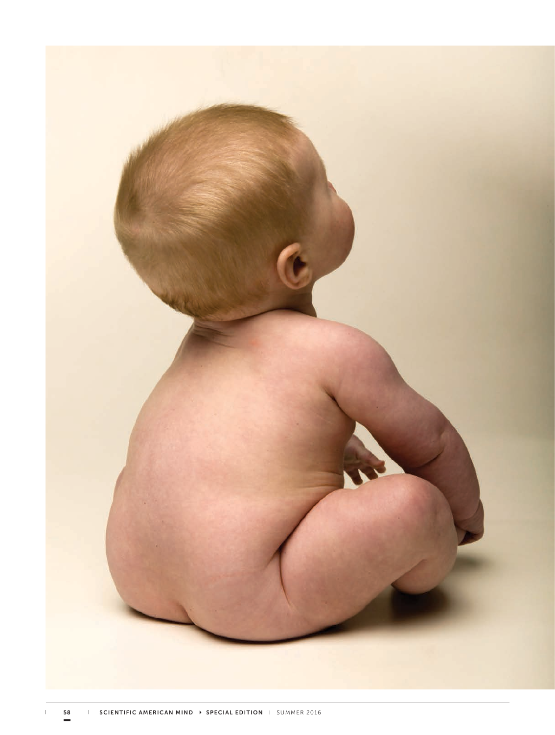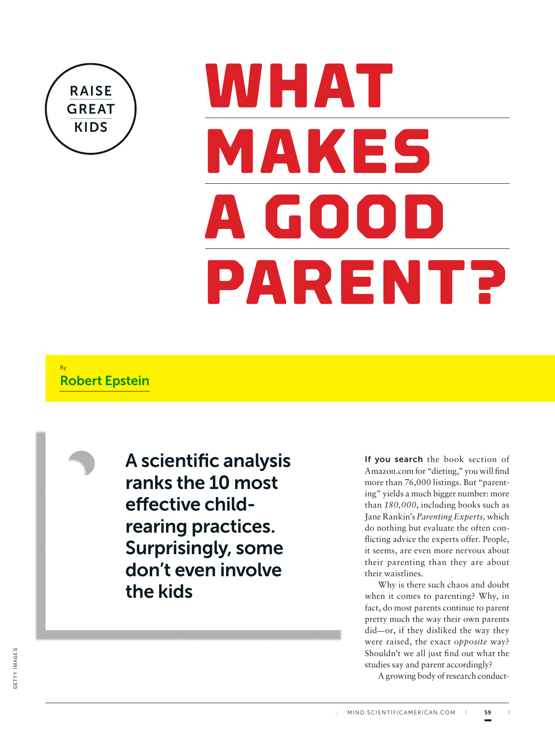

# WHAT MAKES D  $\mathbf{O}($  $\blacksquare$ 6 PARENT?

## By Robert Epstein

A scientific analysis ranks the 10 most effective childrearing practices. Surprisingly, some don't even involve the kids

If you search the book section of Amazon.com for "dieting," you will find more than 76,000 listings. But "parenting" yields a much bigger number: more than *180,000*, including books such as Jane Rankin's *Parenting Experts,* which do nothing but evaluate the often conflicting advice the experts offer. People, it seems, are even more nervous about their parenting than they are about their waistlines*.*

Why is there such chaos and doubt when it comes to parenting? Why, in fact, do most parents continue to parent pretty much the way their own parents did—or, if they disliked the way they were raised, the exact *opposite* way? Shouldn't we all just find out what the studies say and parent accordingly?

A growing body of research conduct-

 $\overline{1}$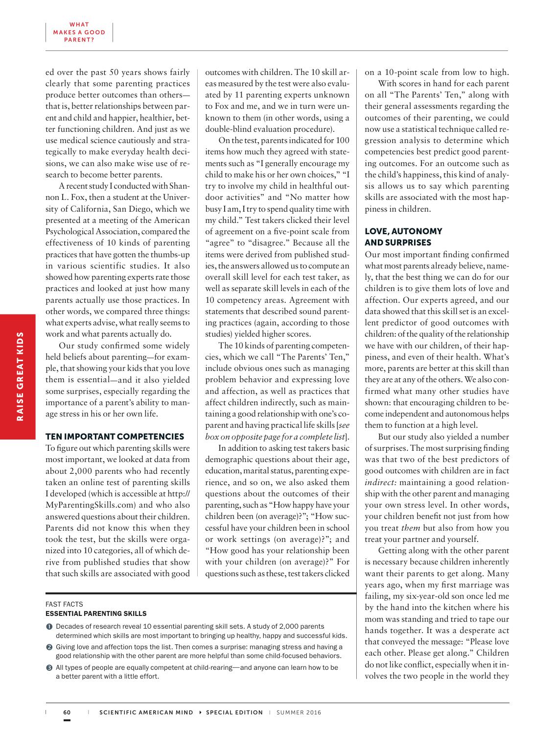ed over the past 50 years shows fairly clearly that some parenting practices produce better outcomes than others that is, better relationships between parent and child and happier, healthier, better functioning children. And just as we use medical science cautiously and strategically to make everyday health decisions, we can also make wise use of research to become better parents.

A recent study I conducted with Shannon L. Fox, then a student at the University of California, San Diego, which we presented at a meeting of the American Psychological Association, compared the effectiveness of 10 kinds of parenting practices that have gotten the thumbs-up in various scientific studies. It also showed how parenting experts rate those practices and looked at just how many parents actually use those practices. In other words, we compared three things: what experts advise, what really seems to work and what parents actually do.

Our study confirmed some widely held beliefs about parenting—for example, that showing your kids that you love them is essential—and it also yielded some surprises, especially regarding the importance of a parent's ability to manage stress in his or her own life.

#### TEN IMPORTANT COMPETENCIES

To figure out which parenting skills were most important, we looked at data from about 2,000 parents who had recently taken an online test of parenting skills I developed (which is accessible at http:// MyParentingSkills.com) and who also answered questions about their children. Parents did not know this when they took the test, but the skills were organized into 10 categories, all of which derive from published studies that show that such skills are associated with good outcomes with children. The 10 skill areas measured by the test were also evaluated by 11 parenting experts unknown to Fox and me, and we in turn were unknown to them (in other words, using a double-blind evaluation procedure).

On the test, parents indicated for 100 items how much they agreed with statements such as "I generally encourage my child to make his or her own choices," "I try to involve my child in healthful outdoor activities" and "No matter how busy I am, I try to spend quality time with my child." Test takers clicked their level of agreement on a five-point scale from "agree" to "disagree." Because all the items were derived from published studies, the answers allowed us to compute an overall skill level for each test taker, as well as separate skill levels in each of the 10 competency areas. Agreement with statements that described sound parenting practices (again, according to those studies) yielded higher scores.

The 10 kinds of parenting competencies, which we call "The Parents' Ten," include obvious ones such as managing problem behavior and expressing love and affection, as well as practices that affect children indirectly, such as maintaining a good relationship with one's coparent and having practical life skills [*see box on opposite page for a complete list*].

In addition to asking test takers basic demographic questions about their age, education, marital status, parenting experience, and so on, we also asked them questions about the outcomes of their parenting, such as "How happy have your children been (on average)?"; "How successful have your children been in school or work settings (on average)?"; and "How good has your relationship been with your children (on average)?" For questions such as these, test takers clicked

#### FAST FACTS ESSENTIAL PARENTING SKILLS

- **O** Decades of research reveal 10 essential parenting skill sets. A study of 2,000 parents determined which skills are most important to bringing up healthy, happy and successful kids.
- o Giving love and affection tops the list. Then comes a surprise: managing stress and having a good relationship with the other parent are more helpful than some child-focused behaviors.
- p All types of people are equally competent at child-rearing—and anyone can learn how to be a better parent with a little effort.

on a 10-point scale from low to high.

With scores in hand for each parent on all "The Parents' Ten," along with their general assessments regarding the outcomes of their parenting, we could now use a statistical technique called regression analysis to determine which competencies best predict good parenting outcomes. For an outcome such as the child's happiness, this kind of analysis allows us to say which parenting skills are associated with the most happiness in children.

### LOVE, AUTONOMY AND SURPRISES

Our most important finding confirmed what most parents already believe, namely, that the best thing we can do for our children is to give them lots of love and affection. Our experts agreed, and our data showed that this skill set is an excellent predictor of good outcomes with children: of the quality of the relationship we have with our children, of their happiness, and even of their health. What's more, parents are better at this skill than they are at any of the others. We also confirmed what many other studies have shown: that encouraging children to become independent and autonomous helps them to function at a high level.

But our study also yielded a number of surprises. The most surprising finding was that two of the best predictors of good outcomes with children are in fact *indirect:* maintaining a good relationship with the other parent and managing your own stress level. In other words, your children benefit not just from how you treat *them* but also from how you treat your partner and yourself.

Getting along with the other parent is necessary because children inherently want their parents to get along. Many years ago, when my first marriage was failing, my six-year-old son once led me by the hand into the kitchen where his mom was standing and tried to tape our hands together. It was a desperate act that conveyed the message: "Please love each other. Please get along." Children do not like conflict, especially when it involves the two people in the world they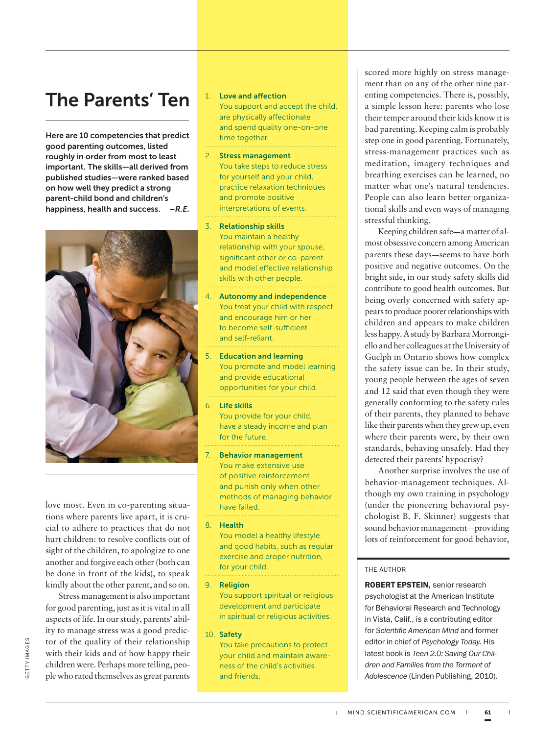# The Parents' Ten

Here are 10 competencies that predict good parenting outcomes, listed roughly in order from most to least important. The skills—all derived from published studies—were ranked based on how well they predict a strong parent-child bond and children's happiness, health and success. –*R.E.*



love most. Even in co-parenting situations where parents live apart, it is crucial to adhere to practices that do not hurt children: to resolve conflicts out of sight of the children, to apologize to one another and forgive each other (both can be done in front of the kids), to speak kindly about the other parent, and so on.

Stress management is also important for good parenting, just as it is vital in all aspects of life. In our study, parents' ability to manage stress was a good predictor of the quality of their relationship with their kids and of how happy their children were. Perhaps more telling, people who rated themselves as great parents

#### 1. Love and affection

You support and accept the child, are physically affectionate and spend quality one-on-one time together.

- 2. Stress management You take steps to reduce stress for yourself and your child, practice relaxation techniques and promote positive interpretations of events.
- 3. Relationship skills You maintain a healthy relationship with your spouse, significant other or co-parent and model effective relationship skills with other people.
- 4. Autonomy and independence You treat your child with respect and encourage him or her to become self-sufficient and self-reliant.
- 5. Education and learning You promote and model learning and provide educational opportunities for your child.
- 6. Life skills

You provide for your child, have a steady income and plan for the future.

- 7. Behavior management You make extensive use of positive reinforcement and punish only when other methods of managing behavior have failed.
- 8. Health

You model a healthy lifestyle and good habits, such as regular exercise and proper nutrition, for your child.

#### 9. Religion

You support spiritual or religious development and participate in spiritual or religious activities.

10. Safety

You take precautions to protect your child and maintain awareness of the child's activities and friends.

scored more highly on stress management than on any of the other nine parenting competencies. There is, possibly, a simple lesson here: parents who lose their temper around their kids know it is bad parenting. Keeping calm is probably step one in good parenting. Fortunately, stress-management practices such as meditation, imagery techniques and breathing exercises can be learned, no matter what one's natural tendencies. People can also learn better organizational skills and even ways of managing stressful thinking.

Keeping children safe—a matter of almost obsessive concern among American parents these days—seems to have both positive and negative outcomes. On the bright side, in our study safety skills did contribute to good health outcomes. But being overly concerned with safety appears to produce poorer relationships with children and appears to make children less happy. A study by Barbara Morrongiello and her colleagues at the University of Guelph in Ontario shows how complex the safety issue can be. In their study, young people between the ages of seven and 12 said that even though they were generally conforming to the safety rules of their parents, they planned to behave like their parents when they grew up, even where their parents were, by their own standards, behaving unsafely. Had they detected their parents' hypocrisy?

Another surprise involves the use of behavior-management techniques. Although my own training in psychology (under the pioneering behavioral psychologist B. F. Skinner) suggests that sound behavior management—providing lots of reinforcement for good behavior,

#### THE AUTHOR

ROBERT EPSTEIN, senior research psychologist at the American Institute for Behavioral Research and Technology in Vista, Calif., is a contributing editor for *Scientific American Mind* and former editor in chief of *Psychology Today.* His latest book is *Teen 2.0: Saving Our Children and Families from the Torment of Adolescence* (Linden Publishing, 2010).

 $\mathbf{I}$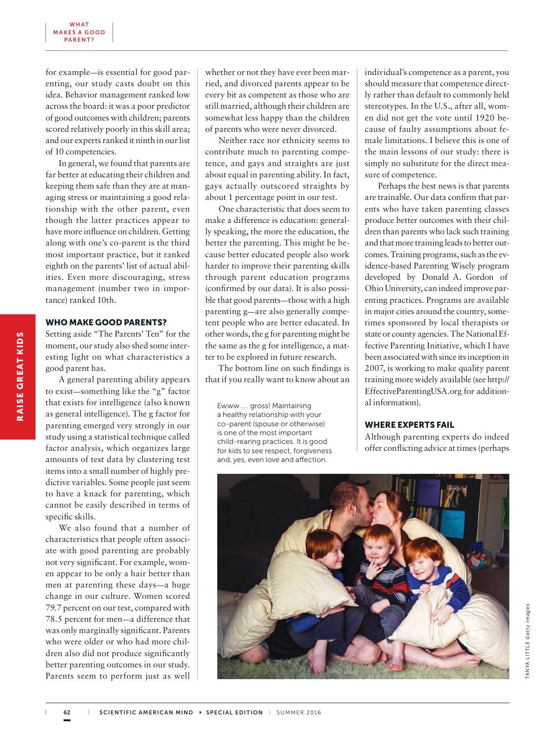for example—is essential for good parenting, our study casts doubt on this idea. Behavior management ranked low across the board: it was a poor predictor of good outcomes with children; parents scored relatively poorly in this skill area; and our experts ranked it ninth in our list of 10 competencies.

In general, we found that parents are far better at educating their children and keeping them safe than they are at managing stress or maintaining a good relationship with the other parent, even though the latter practices appear to have more influence on children. Getting along with one's co-parent is the third most important practice, but it ranked eighth on the parents' list of actual abilities. Even more discouraging, stress management (number two in importance) ranked 10th.

#### WHO MAKE GOOD PARENTS?

RAISE GREAT KIDS

RAISE GREAT KIDS

Setting aside "The Parents' Ten" for the moment, our study also shed some interesting light on what characteristics a good parent has.

A general parenting ability appears to exist—something like the "g" factor that exists for intelligence (also known as general intelligence). The g factor for parenting emerged very strongly in our study using a statistical technique called factor analysis, which organizes large amounts of test data by clustering test items into a small number of highly predictive variables. Some people just seem to have a knack for parenting, which cannot be easily described in terms of specific skills.

We also found that a number of characteristics that people often associate with good parenting are probably not very significant. For example, women appear to be only a hair better than men at parenting these days—a huge change in our culture. Women scored 79.7 percent on our test, compared with 78.5 percent for men—a difference that was only marginally significant. Parents who were older or who had more children also did not produce significantly better parenting outcomes in our study. Parents seem to perform just as well whether or not they have ever been married, and divorced parents appear to be every bit as competent as those who are still married, although their children are somewhat less happy than the children of parents who were never divorced.

Neither race nor ethnicity seems to contribute much to parenting competence, and gays and straights are just about equal in parenting ability. In fact, gays actually outscored straights by about 1 percentage point in our test.

One characteristic that does seem to make a difference is education: generally speaking, the more the education, the better the parenting. This might be because better educated people also work harder to improve their parenting skills through parent education programs (confirmed by our data). It is also possible that good parents—those with a high parenting g—are also generally competent people who are better educated. In other words, the g for parenting might be the same as the g for intelligence, a matter to be explored in future research.

The bottom line on such findings is that if you really want to know about an

Ewww ... gross! Maintaining a healthy relationship with your co-parent (spouse or otherwise) is one of the most important child-rearing practices. It is good for kids to see respect, forgiveness and, yes, even love and affection.

individual's competence as a parent, you should measure that competence directly rather than default to commonly held stereotypes. In the U.S., after all, women did not get the vote until 1920 because of faulty assumptions about female limitations. I believe this is one of the main lessons of our study: there is simply no substitute for the direct measure of competence.

Perhaps the best news is that parents are trainable. Our data confirm that parents who have taken parenting classes produce better outcomes with their children than parents who lack such training and that more training leads to better outcomes. Training programs, such as the evidence-based Parenting Wisely program developed by Donald A. Gordon of Ohio University, can indeed improve parenting practices. Programs are available in major cities around the country, sometimes sponsored by local therapists or state or county agencies. The National Effective Parenting Initiative, which I have been associated with since its inception in 2007, is working to make quality parent training more widely available (see http:// EffectiveParentingUSA.org for additional information).

#### WHERE EXPERTS FAIL

Although parenting experts do indeed offer conflicting advice at times (perhaps